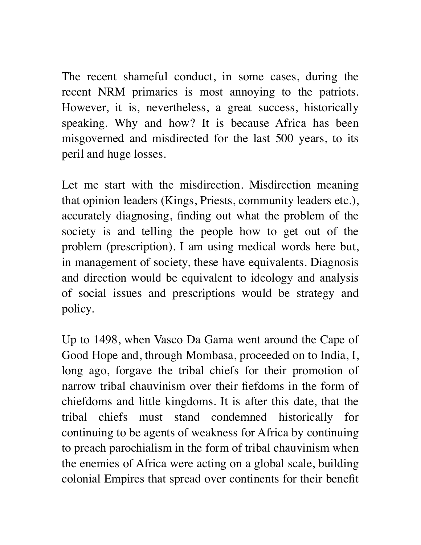The recent shameful conduct, in some cases, during the recent NRM primaries is most annoying to the patriots. However, it is, nevertheless, a great success, historically speaking. Why and how? It is because Africa has been misgoverned and misdirected for the last 500 years, to its peril and huge losses.

Let me start with the misdirection. Misdirection meaning that opinion leaders (Kings, Priests, community leaders etc.), accurately diagnosing, finding out what the problem of the society is and telling the people how to get out of the problem (prescription). I am using medical words here but, in management of society, these have equivalents. Diagnosis and direction would be equivalent to ideology and analysis of social issues and prescriptions would be strategy and policy.

Up to 1498, when Vasco Da Gama went around the Cape of Good Hope and, through Mombasa, proceeded on to India, I, long ago, forgave the tribal chiefs for their promotion of narrow tribal chauvinism over their fiefdoms in the form of chiefdoms and little kingdoms. It is after this date, that the tribal chiefs must stand condemned historically for continuing to be agents of weakness for Africa by continuing to preach parochialism in the form of tribal chauvinism when the enemies of Africa were acting on a global scale, building colonial Empires that spread over continents for their benefit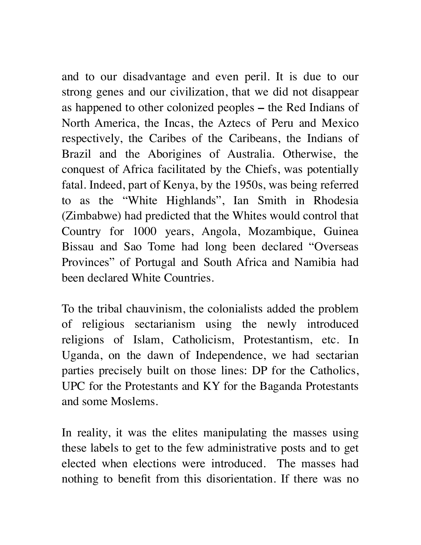and to our disadvantage and even peril. It is due to our strong genes and our civilization, that we did not disappear as happened to other colonized peoples **–** the Red Indians of North America, the Incas, the Aztecs of Peru and Mexico respectively, the Caribes of the Caribeans, the Indians of Brazil and the Aborigines of Australia. Otherwise, the conquest of Africa facilitated by the Chiefs, was potentially fatal. Indeed, part of Kenya, by the 1950s, was being referred to as the "White Highlands", Ian Smith in Rhodesia (Zimbabwe) had predicted that the Whites would control that Country for 1000 years, Angola, Mozambique, Guinea Bissau and Sao Tome had long been declared "Overseas Provinces" of Portugal and South Africa and Namibia had been declared White Countries.

To the tribal chauvinism, the colonialists added the problem of religious sectarianism using the newly introduced religions of Islam, Catholicism, Protestantism, etc. In Uganda, on the dawn of Independence, we had sectarian parties precisely built on those lines: DP for the Catholics, UPC for the Protestants and KY for the Baganda Protestants and some Moslems.

In reality, it was the elites manipulating the masses using these labels to get to the few administrative posts and to get elected when elections were introduced. The masses had nothing to benefit from this disorientation. If there was no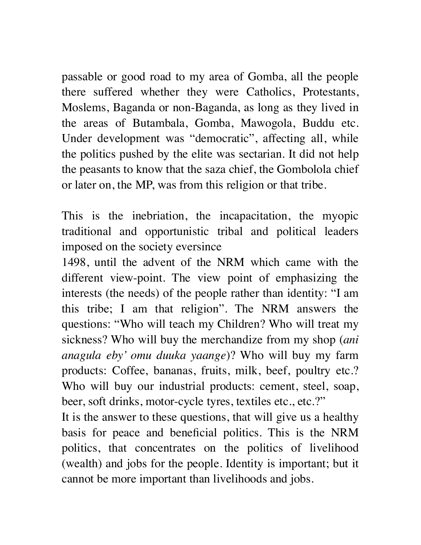passable or good road to my area of Gomba, all the people there suffered whether they were Catholics, Protestants, Moslems, Baganda or non-Baganda, as long as they lived in the areas of Butambala, Gomba, Mawogola, Buddu etc. Under development was "democratic", affecting all, while the politics pushed by the elite was sectarian. It did not help the peasants to know that the saza chief, the Gombolola chief or later on, the MP, was from this religion or that tribe.

This is the inebriation, the incapacitation, the myopic traditional and opportunistic tribal and political leaders imposed on the society eversince

1498, until the advent of the NRM which came with the different view-point. The view point of emphasizing the interests (the needs) of the people rather than identity: "I am this tribe; I am that religion". The NRM answers the questions: "Who will teach my Children? Who will treat my sickness? Who will buy the merchandize from my shop (*ani anagula eby' omu duuka yaange*)? Who will buy my farm products: Coffee, bananas, fruits, milk, beef, poultry etc.? Who will buy our industrial products: cement, steel, soap, beer, soft drinks, motor-cycle tyres, textiles etc., etc.?"

It is the answer to these questions, that will give us a healthy basis for peace and beneficial politics. This is the NRM politics, that concentrates on the politics of livelihood (wealth) and jobs for the people. Identity is important; but it cannot be more important than livelihoods and jobs.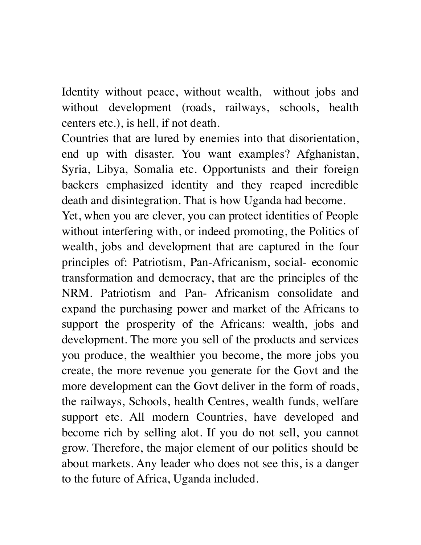Identity without peace, without wealth, without jobs and without development (roads, railways, schools, health centers etc.), is hell, if not death.

Countries that are lured by enemies into that disorientation, end up with disaster. You want examples? Afghanistan, Syria, Libya, Somalia etc. Opportunists and their foreign backers emphasized identity and they reaped incredible death and disintegration. That is how Uganda had become.

Yet, when you are clever, you can protect identities of People without interfering with, or indeed promoting, the Politics of wealth, jobs and development that are captured in the four principles of: Patriotism, Pan-Africanism, social- economic transformation and democracy, that are the principles of the NRM. Patriotism and Pan- Africanism consolidate and expand the purchasing power and market of the Africans to support the prosperity of the Africans: wealth, jobs and development. The more you sell of the products and services you produce, the wealthier you become, the more jobs you create, the more revenue you generate for the Govt and the more development can the Govt deliver in the form of roads, the railways, Schools, health Centres, wealth funds, welfare support etc. All modern Countries, have developed and become rich by selling alot. If you do not sell, you cannot grow. Therefore, the major element of our politics should be about markets. Any leader who does not see this, is a danger to the future of Africa, Uganda included.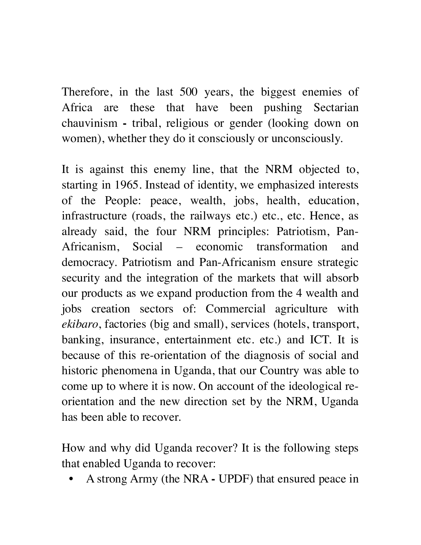Therefore, in the last 500 years, the biggest enemies of Africa are these that have been pushing Sectarian chauvinism **-** tribal, religious or gender (looking down on women), whether they do it consciously or unconsciously.

It is against this enemy line, that the NRM objected to, starting in 1965. Instead of identity, we emphasized interests of the People: peace, wealth, jobs, health, education, infrastructure (roads, the railways etc.) etc., etc. Hence, as already said, the four NRM principles: Patriotism, Pan-Africanism, Social – economic transformation and democracy. Patriotism and Pan-Africanism ensure strategic security and the integration of the markets that will absorb our products as we expand production from the 4 wealth and jobs creation sectors of: Commercial agriculture with *ekibaro*, factories (big and small), services (hotels, transport, banking, insurance, entertainment etc. etc.) and ICT. It is because of this re-orientation of the diagnosis of social and historic phenomena in Uganda, that our Country was able to come up to where it is now. On account of the ideological reorientation and the new direction set by the NRM, Uganda has been able to recover.

How and why did Uganda recover? It is the following steps that enabled Uganda to recover:

• A strong Army (the NRA - UPDF) that ensured peace in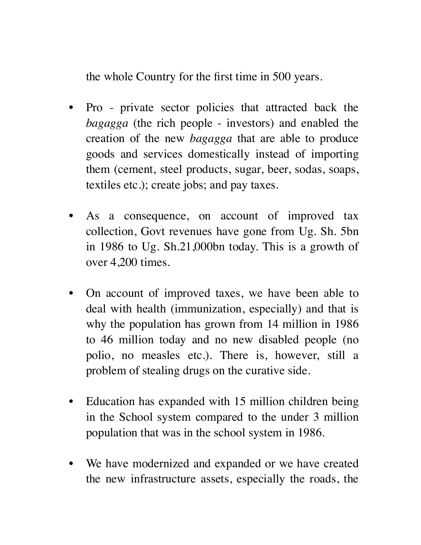the whole Country for the first time in 500 years.

- Pro private sector policies that attracted back the *bagagga* (the rich people - investors) and enabled the creation of the new *bagagga* that are able to produce goods and services domestically instead of importing them (cement, steel products, sugar, beer, sodas, soaps, textiles etc.); create jobs; and pay taxes.
- As a consequence, on account of improved tax collection, Govt revenues have gone from Ug. Sh. 5bn in 1986 to Ug. Sh.21,000bn today. This is a growth of over 4,200 times.
- On account of improved taxes, we have been able to deal with health (immunization, especially) and that is why the population has grown from 14 million in 1986 to 46 million today and no new disabled people (no polio, no measles etc.). There is, however, still a problem of stealing drugs on the curative side.
- Education has expanded with 15 million children being in the School system compared to the under 3 million population that was in the school system in 1986.
- We have modernized and expanded or we have created the new infrastructure assets, especially the roads, the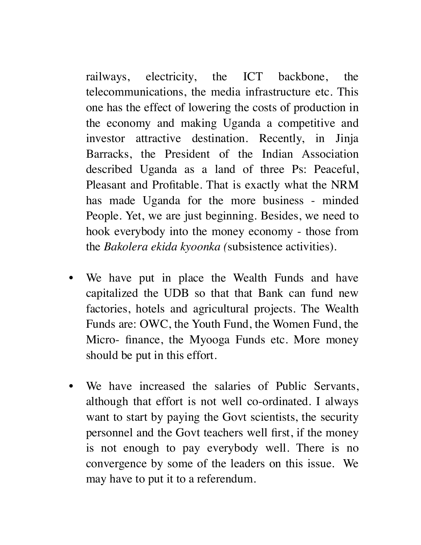railways, electricity, the ICT backbone, the telecommunications, the media infrastructure etc. This one has the effect of lowering the costs of production in the economy and making Uganda a competitive and investor attractive destination. Recently, in Jinja Barracks, the President of the Indian Association described Uganda as a land of three Ps: Peaceful, Pleasant and Profitable. That is exactly what the NRM has made Uganda for the more business - minded People. Yet, we are just beginning. Besides, we need to hook everybody into the money economy - those from the *Bakolera ekida kyoonka (*subsistence activities).

- We have put in place the Wealth Funds and have capitalized the UDB so that that Bank can fund new factories, hotels and agricultural projects. The Wealth Funds are: OWC, the Youth Fund, the Women Fund, the Micro- finance, the Myooga Funds etc. More money should be put in this effort.
- We have increased the salaries of Public Servants, although that effort is not well co-ordinated. I always want to start by paying the Govt scientists, the security personnel and the Govt teachers well first, if the money is not enough to pay everybody well. There is no convergence by some of the leaders on this issue. We may have to put it to a referendum.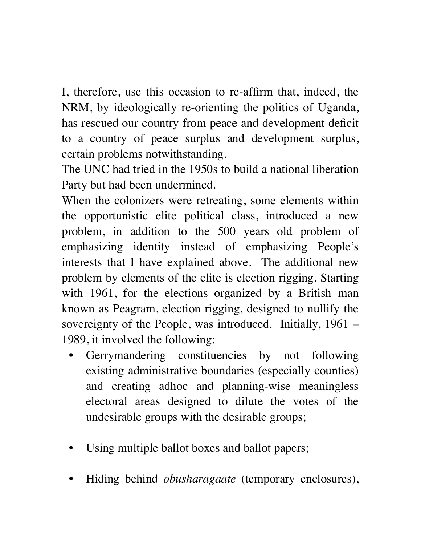I, therefore, use this occasion to re-affirm that, indeed, the NRM, by ideologically re-orienting the politics of Uganda, has rescued our country from peace and development deficit to a country of peace surplus and development surplus, certain problems notwithstanding.

The UNC had tried in the 1950s to build a national liberation Party but had been undermined.

When the colonizers were retreating, some elements within the opportunistic elite political class, introduced a new problem, in addition to the 500 years old problem of emphasizing identity instead of emphasizing People's interests that I have explained above. The additional new problem by elements of the elite is election rigging. Starting with 1961, for the elections organized by a British man known as Peagram, election rigging, designed to nullify the sovereignty of the People, was introduced. Initially, 1961 – 1989, it involved the following:

- Gerrymandering constituencies by not following existing administrative boundaries (especially counties) and creating adhoc and planning-wise meaningless electoral areas designed to dilute the votes of the undesirable groups with the desirable groups;
- Using multiple ballot boxes and ballot papers;
- Hiding behind *obusharagaate* (temporary enclosures),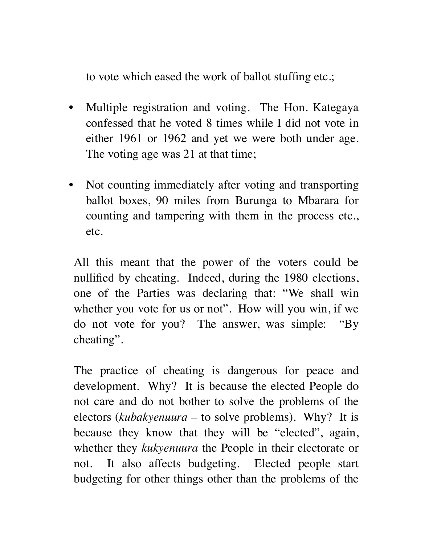to vote which eased the work of ballot stuffing etc.;

- Multiple registration and voting. The Hon. Kategaya confessed that he voted 8 times while I did not vote in either 1961 or 1962 and yet we were both under age. The voting age was 21 at that time;
- Not counting immediately after voting and transporting ballot boxes, 90 miles from Burunga to Mbarara for counting and tampering with them in the process etc., etc.

All this meant that the power of the voters could be nullified by cheating. Indeed, during the 1980 elections, one of the Parties was declaring that: "We shall win whether you vote for us or not". How will you win, if we do not vote for you? The answer, was simple: "By cheating".

The practice of cheating is dangerous for peace and development. Why? It is because the elected People do not care and do not bother to solve the problems of the electors (*kubakyenuura –* to solve problems). Why? It is because they know that they will be "elected", again, whether they *kukyenuura* the People in their electorate or not. It also affects budgeting. Elected people start budgeting for other things other than the problems of the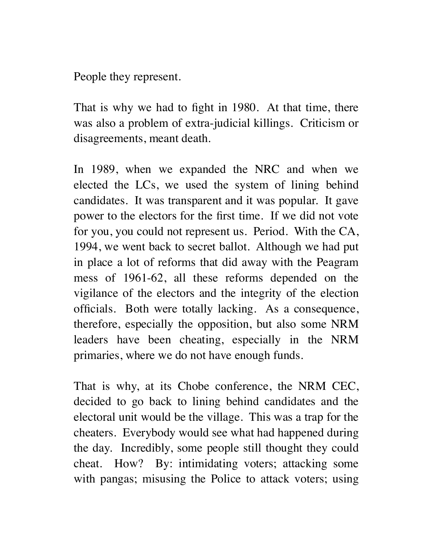People they represent.

That is why we had to fight in 1980. At that time, there was also a problem of extra-judicial killings. Criticism or disagreements, meant death.

In 1989, when we expanded the NRC and when we elected the LCs, we used the system of lining behind candidates. It was transparent and it was popular. It gave power to the electors for the first time. If we did not vote for you, you could not represent us. Period. With the CA, 1994, we went back to secret ballot. Although we had put in place a lot of reforms that did away with the Peagram mess of 1961-62, all these reforms depended on the vigilance of the electors and the integrity of the election officials. Both were totally lacking. As a consequence, therefore, especially the opposition, but also some NRM leaders have been cheating, especially in the NRM primaries, where we do not have enough funds.

That is why, at its Chobe conference, the NRM CEC, decided to go back to lining behind candidates and the electoral unit would be the village. This was a trap for the cheaters. Everybody would see what had happened during the day. Incredibly, some people still thought they could cheat. How? By: intimidating voters; attacking some with pangas; misusing the Police to attack voters; using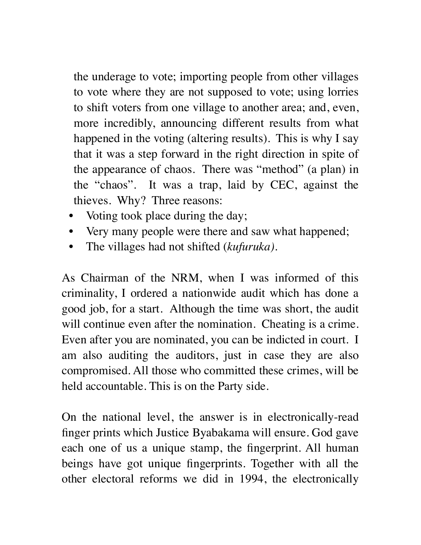the underage to vote; importing people from other villages to vote where they are not supposed to vote; using lorries to shift voters from one village to another area; and, even, more incredibly, announcing different results from what happened in the voting (altering results). This is why I say that it was a step forward in the right direction in spite of the appearance of chaos. There was "method" (a plan) in the "chaos". It was a trap, laid by CEC, against the thieves. Why? Three reasons:

- Voting took place during the day;
- Very many people were there and saw what happened;
- The villages had not shifted (*kufuruka)*.

As Chairman of the NRM, when I was informed of this criminality, I ordered a nationwide audit which has done a good job, for a start. Although the time was short, the audit will continue even after the nomination. Cheating is a crime. Even after you are nominated, you can be indicted in court. I am also auditing the auditors, just in case they are also compromised. All those who committed these crimes, will be held accountable. This is on the Party side.

On the national level, the answer is in electronically-read finger prints which Justice Byabakama will ensure. God gave each one of us a unique stamp, the fingerprint. All human beings have got unique fingerprints. Together with all the other electoral reforms we did in 1994, the electronically